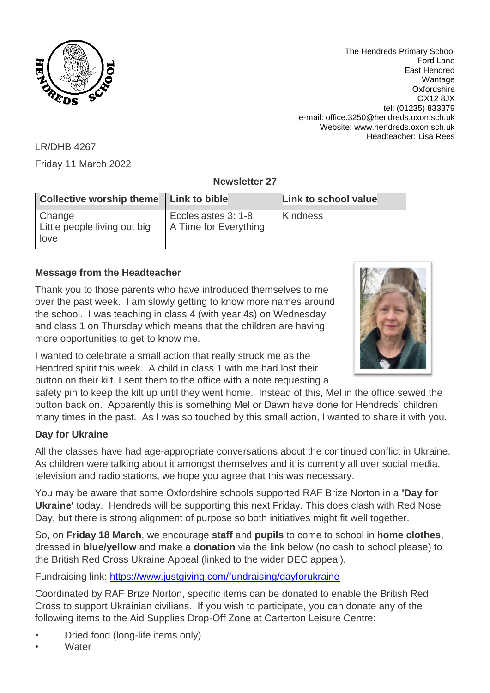

The Hendreds Primary School Ford Lane East Hendred Wantage **Oxfordshire** OX12 8JX tel: (01235) 833379 e-mail: office.3250@hendreds.oxon.sch.uk Website: www.hendreds.oxon.sch.uk Headteacher: Lisa Rees

LR/DHB 4267

Friday 11 March 2022

**Newsletter 27**

| <b>Collective worship theme</b>                | Link to bible                                | Link to school value |
|------------------------------------------------|----------------------------------------------|----------------------|
| Change<br>Little people living out big<br>love | Ecclesiastes 3: 1-8<br>A Time for Everything | <b>Kindness</b>      |

# **Message from the Headteacher**

Thank you to those parents who have introduced themselves to me over the past week. I am slowly getting to know more names around the school. I was teaching in class 4 (with year 4s) on Wednesday and class 1 on Thursday which means that the children are having more opportunities to get to know me.



I wanted to celebrate a small action that really struck me as the Hendred spirit this week. A child in class 1 with me had lost their button on their kilt. I sent them to the office with a note requesting a

safety pin to keep the kilt up until they went home. Instead of this, Mel in the office sewed the button back on. Apparently this is something Mel or Dawn have done for Hendreds' children many times in the past. As I was so touched by this small action, I wanted to share it with you.

## **Day for Ukraine**

All the classes have had age-appropriate conversations about the continued conflict in Ukraine. As children were talking about it amongst themselves and it is currently all over social media, television and radio stations, we hope you agree that this was necessary.

You may be aware that some Oxfordshire schools supported RAF Brize Norton in a **'Day for Ukraine'** today. Hendreds will be supporting this next Friday. This does clash with Red Nose Day, but there is strong alignment of purpose so both initiatives might fit well together.

So, on **Friday 18 March**, we encourage **staff** and **pupils** to come to school in **home clothes**, dressed in **blue/yellow** and make a **donation** via the link below (no cash to school please) to the British Red Cross Ukraine Appeal (linked to the wider DEC appeal).

Fundraising link:<https://www.justgiving.com/fundraising/dayforukraine>

Coordinated by RAF Brize Norton, specific items can be donated to enable the British Red Cross to support Ukrainian civilians. If you wish to participate, you can donate any of the following items to the Aid Supplies Drop-Off Zone at Carterton Leisure Centre:

- Dried food (long-life items only)
- **Water**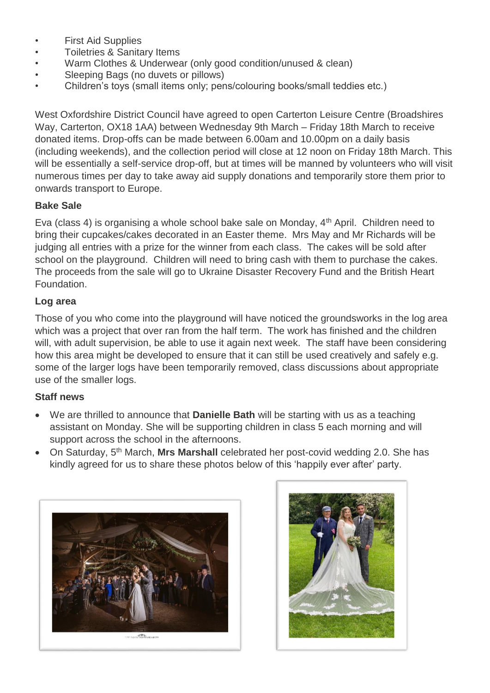- First Aid Supplies
- Toiletries & Sanitary Items
- Warm Clothes & Underwear (only good condition/unused & clean)
- Sleeping Bags (no duvets or pillows)
- Children's toys (small items only; pens/colouring books/small teddies etc.)

West Oxfordshire District Council have agreed to open Carterton Leisure Centre (Broadshires Way, Carterton, OX18 1AA) between Wednesday 9th March – Friday 18th March to receive donated items. Drop-offs can be made between 6.00am and 10.00pm on a daily basis (including weekends), and the collection period will close at 12 noon on Friday 18th March. This will be essentially a self-service drop-off, but at times will be manned by volunteers who will visit numerous times per day to take away aid supply donations and temporarily store them prior to onwards transport to Europe.

### **Bake Sale**

Eva (class 4) is organising a whole school bake sale on Monday, 4th April. Children need to bring their cupcakes/cakes decorated in an Easter theme. Mrs May and Mr Richards will be judging all entries with a prize for the winner from each class. The cakes will be sold after school on the playground. Children will need to bring cash with them to purchase the cakes. The proceeds from the sale will go to Ukraine Disaster Recovery Fund and the British Heart Foundation.

### **Log area**

Those of you who come into the playground will have noticed the groundsworks in the log area which was a project that over ran from the half term. The work has finished and the children will, with adult supervision, be able to use it again next week. The staff have been considering how this area might be developed to ensure that it can still be used creatively and safely e.g. some of the larger logs have been temporarily removed, class discussions about appropriate use of the smaller logs.

#### **Staff news**

- We are thrilled to announce that **Danielle Bath** will be starting with us as a teaching assistant on Monday. She will be supporting children in class 5 each morning and will support across the school in the afternoons.
- On Saturday, 5th March, **Mrs Marshall** celebrated her post-covid wedding 2.0. She has kindly agreed for us to share these photos below of this 'happily ever after' party.